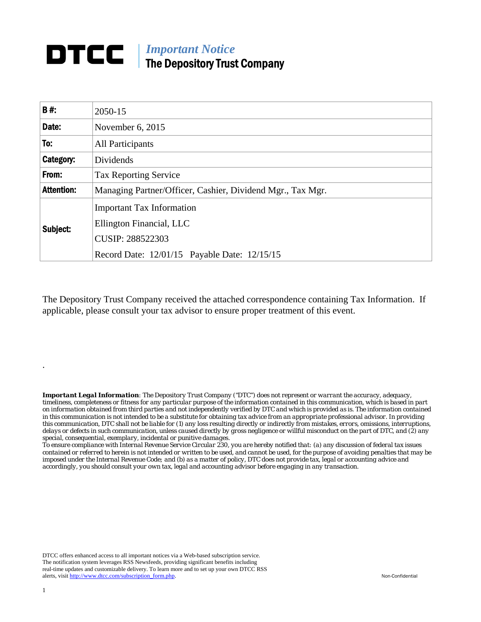## *Important Notice*  DTCC | The Depository Trust Company

| <b>B#:</b>        | 2050-15                                                      |
|-------------------|--------------------------------------------------------------|
| Date:             | November 6, 2015                                             |
| To:               | <b>All Participants</b>                                      |
| Category:         | Dividends                                                    |
| From:             | <b>Tax Reporting Service</b>                                 |
| <b>Attention:</b> | Managing Partner/Officer, Cashier, Dividend Mgr., Tax Mgr.   |
| Subject:          | <b>Important Tax Information</b><br>Ellington Financial, LLC |
|                   | <b>CUSIP: 288522303</b>                                      |
|                   | Record Date: 12/01/15 Payable Date: 12/15/15                 |

The Depository Trust Company received the attached correspondence containing Tax Information. If applicable, please consult your tax advisor to ensure proper treatment of this event.

*Important Legal Information: The Depository Trust Company ("DTC") does not represent or warrant the accuracy, adequacy, timeliness, completeness or fitness for any particular purpose of the information contained in this communication, which is based in part on information obtained from third parties and not independently verified by DTC and which is provided as is. The information contained in this communication is not intended to be a substitute for obtaining tax advice from an appropriate professional advisor. In providing this communication, DTC shall not be liable for (1) any loss resulting directly or indirectly from mistakes, errors, omissions, interruptions, delays or defects in such communication, unless caused directly by gross negligence or willful misconduct on the part of DTC, and (2) any special, consequential, exemplary, incidental or punitive damages.* 

*To ensure compliance with Internal Revenue Service Circular 230, you are hereby notified that: (a) any discussion of federal tax issues contained or referred to herein is not intended or written to be used, and cannot be used, for the purpose of avoiding penalties that may be imposed under the Internal Revenue Code; and (b) as a matter of policy, DTC does not provide tax, legal or accounting advice and accordingly, you should consult your own tax, legal and accounting advisor before engaging in any transaction.*

DTCC offers enhanced access to all important notices via a Web-based subscription service. The notification system leverages RSS Newsfeeds, providing significant benefits including real-time updates and customizable delivery. To learn more and to set up your own DTCC RSS alerts, visit http://www.dtcc.com/subscription\_form.php. Non-Confidential

.